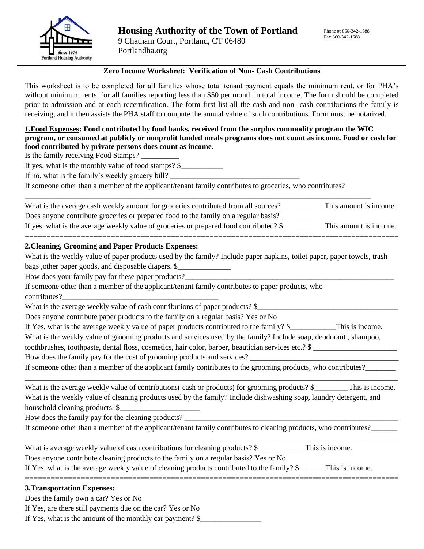

# **Zero Income Worksheet: Verification of Non- Cash Contributions**

This worksheet is to be completed for all families whose total tenant payment equals the minimum rent, or for PHA's without minimum rents, for all families reporting less than \$50 per month in total income. The form should be completed prior to admission and at each recertification. The form first list all the cash and non- cash contributions the family is receiving, and it then assists the PHA staff to compute the annual value of such contributions. Form must be notarized.

## **1.Food Expenses: Food contributed by food banks, received from the surplus commodity program the WIC program, or consumed at publicly or nonprofit funded meals programs does not count as income. Food or cash for food contributed by private persons does count as income.**

Is the family receiving Food Stamps? \_\_\_\_\_\_\_\_\_\_

If yes, what is the monthly value of food stamps? \$\_\_\_\_\_\_\_\_\_\_\_

If no, what is the family's weekly grocery bill?

If someone other than a member of the applicant/tenant family contributes to groceries, who contributes?

\_\_\_\_\_\_\_\_\_\_\_\_\_\_\_\_\_\_\_\_\_\_\_\_\_\_\_\_\_\_\_\_\_\_\_\_\_\_\_\_\_\_\_\_\_\_\_\_\_\_\_\_\_\_\_\_\_\_\_\_\_\_\_\_\_\_\_\_\_\_\_\_\_\_\_\_\_\_\_\_\_\_\_\_\_\_\_\_\_\_\_

| What is the average cash weekly amount for groceries contributed from all sources?     | This amount is income. |
|----------------------------------------------------------------------------------------|------------------------|
| Does anyone contribute groceries or prepared food to the family on a regular basis?    |                        |
| If yes, what is the average weekly value of groceries or prepared food contributed? \$ | This amount is income. |

=======================================================================================

## **2.Cleaning, Grooming and Paper Products Expenses:**

What is the weekly value of paper products used by the family? Include paper napkins, toilet paper, paper towels, trash bags , other paper goods, and disposable diapers. \$

How does your family pay for these paper products?

If someone other than a member of the applicant/tenant family contributes to paper products, who contributes?

What is the average weekly value of cash contributions of paper products? \$

Does anyone contribute paper products to the family on a regular basis? Yes or No

If Yes, what is the average weekly value of paper products contributed to the family? \$\_\_\_\_\_\_\_\_\_\_\_\_This is income.

What is the weekly value of grooming products and services used by the family? Include soap, deodorant, shampoo,

toothbrushes, toothpaste, dental floss, cosmetics, hair color, barber, beautician services etc.? \$ \_\_\_\_\_\_\_\_\_\_\_\_\_\_\_\_\_\_\_\_\_\_

How does the family pay for the cost of grooming products and services? \_\_\_\_\_\_\_\_\_\_\_\_\_\_\_\_\_\_\_\_\_\_\_\_\_\_\_\_\_\_\_\_\_\_\_\_\_\_\_

If someone other than a member of the applicant family contributes to the grooming products, who contributes?

What is the average weekly value of contributions (cash or products) for grooming products? \$ This is income. What is the weekly value of cleaning products used by the family? Include dishwashing soap, laundry detergent, and household cleaning products. \$

\_\_\_\_\_\_\_\_\_\_\_\_\_\_\_\_\_\_\_\_\_\_\_\_\_\_\_\_\_\_\_\_\_\_\_\_\_\_\_\_\_\_\_\_\_\_\_\_\_\_\_\_\_\_\_\_\_\_\_\_\_\_\_\_\_\_\_\_\_\_\_\_\_\_\_\_\_\_\_\_\_\_\_\_\_\_\_\_\_\_\_\_\_\_\_\_\_\_

=======================================================================================

\_\_\_\_\_\_\_\_\_\_\_\_\_\_\_\_\_\_\_\_\_\_\_\_\_\_\_\_\_\_\_\_\_\_\_\_\_\_\_\_\_\_\_\_\_\_\_\_\_\_\_\_\_\_\_\_\_\_\_\_\_\_\_\_\_\_\_\_\_\_\_\_\_\_\_\_\_\_\_\_\_\_\_\_\_\_\_\_\_\_\_\_\_\_\_\_\_\_

How does the family pay for the cleaning products?

If someone other than a member of the applicant/tenant family contributes to cleaning products, who contributes?\_\_\_\_\_\_

What is average weekly value of cash contributions for cleaning products? \$ This is income. Does anyone contribute cleaning products to the family on a regular basis? Yes or No

If Yes, what is the average weekly value of cleaning products contributed to the family? \$\_\_\_\_\_\_\_This is income.

## **3.Transportation Expenses:**

Does the family own a car? Yes or No

If Yes, are there still payments due on the car? Yes or No

If Yes, what is the amount of the monthly car payment? \$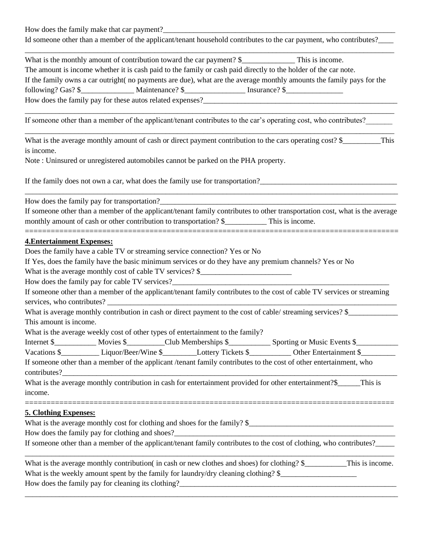How does the family make that car payment?

Id someone other than a member of the applicant/tenant household contributes to the car payment, who contributes?

| What is the monthly amount of contribution toward the car payment? $\frac{1}{2}$                                      | This is income. |
|-----------------------------------------------------------------------------------------------------------------------|-----------------|
| The amount is income whether it is cash paid to the family or cash paid directly to the holder of the car note.       |                 |
| If the family owns a car outright (no payments are due), what are the average monthly amounts the family pays for the |                 |
| following? Gas? \$                                                                                                    | Insurance? \$   |
| How does the family pay for these autos related expenses?                                                             |                 |

If someone other than a member of the applicant/tenant contributes to the car's operating cost, who contributes?

What is the average monthly amount of cash or direct payment contribution to the cars operating cost?  $\$\$  This is income.

\_\_\_\_\_\_\_\_\_\_\_\_\_\_\_\_\_\_\_\_\_\_\_\_\_\_\_\_\_\_\_\_\_\_\_\_\_\_\_\_\_\_\_\_\_\_\_\_\_\_\_\_\_\_\_\_\_\_\_\_\_\_\_\_\_\_\_\_\_\_\_\_\_\_\_\_\_\_\_\_\_\_\_\_\_\_\_\_\_\_\_\_\_\_\_\_\_

Note : Uninsured or unregistered automobiles cannot be parked on the PHA property.

If the family does not own a car, what does the family use for transportation?\_\_\_\_\_\_\_\_\_\_\_\_\_\_\_\_\_\_\_\_\_\_\_\_\_\_\_\_\_\_\_\_\_\_\_\_

How does the family pay for transportation?

If someone other than a member of the applicant/tenant family contributes to other transportation cost, what is the average monthly amount of cash or other contribution to transportation? \$\_\_\_\_\_\_\_\_\_\_\_\_\_ This is income.

=======================================================================================

======================================================================================

\_\_\_\_\_\_\_\_\_\_\_\_\_\_\_\_\_\_\_\_\_\_\_\_\_\_\_\_\_\_\_\_\_\_\_\_\_\_\_\_\_\_\_\_\_\_\_\_\_\_\_\_\_\_\_\_\_\_\_\_\_\_\_\_\_\_\_\_\_\_\_\_\_\_\_\_\_\_\_\_\_\_\_\_\_\_\_\_\_\_\_\_\_\_\_\_\_\_

#### **4.Entertainment Expenses:**

Does the family have a cable TV or streaming service connection? Yes or No

If Yes, does the family have the basic minimum services or do they have any premium channels? Yes or No

What is the average monthly cost of cable TV services? \$

How does the family pay for cable TV services?

If someone other than a member of the applicant/tenant family contributes to the cost of cable TV services or streaming services, who contributes?

What is average monthly contribution in cash or direct payment to the cost of cable/ streaming services? \$\_\_\_\_\_\_\_\_\_\_\_\_\_ This amount is income.

What is the average weekly cost of other types of entertainment to the family?

Internet \$\_\_\_\_\_\_\_\_\_\_\_ Movies \$\_\_\_\_\_\_\_\_\_Club Memberships \$\_\_\_\_\_\_\_\_\_\_\_ Sporting or Music Events \$\_\_\_\_\_\_\_\_\_\_\_

Vacations \$\_\_\_\_\_\_\_\_\_\_ Liquor/Beer/Wine \$\_\_\_\_\_\_\_\_\_Lottery Tickets \$\_\_\_\_\_\_\_\_\_\_\_ Other Entertainment \$\_\_\_\_\_\_\_\_\_

If someone other than a member of the applicant /tenant family contributes to the cost of other entertainment, who contributes?\_\_\_\_\_\_\_\_\_\_\_\_\_\_\_\_\_\_\_\_\_\_\_\_\_\_\_\_\_\_\_\_\_\_\_\_\_\_\_\_\_\_\_\_\_\_\_\_\_\_\_\_\_\_\_\_\_\_\_\_\_\_\_\_\_\_\_\_\_\_\_\_\_\_\_\_\_\_\_\_\_\_\_\_\_\_\_\_

What is the average monthly contribution in cash for entertainment provided for other entertainment?\$\_\_\_\_\_\_This is income.

### **5. Clothing Expenses:**

What is the average monthly cost for clothing and shoes for the family?  $\$ 

How does the family pay for clothing and shoes?

If someone other than a member of the applicant/tenant family contributes to the cost of clothing, who contributes?

| What is the average monthly contribution (in cash or new clothes and shoes) for clothing? \$<br>This is income. |  |
|-----------------------------------------------------------------------------------------------------------------|--|
| What is the weekly amount spent by the family for laundry/dry cleaning clothing? $\S$                           |  |
| How does the family pay for cleaning its clothing?                                                              |  |

\_\_\_\_\_\_\_\_\_\_\_\_\_\_\_\_\_\_\_\_\_\_\_\_\_\_\_\_\_\_\_\_\_\_\_\_\_\_\_\_\_\_\_\_\_\_\_\_\_\_\_\_\_\_\_\_\_\_\_\_\_\_\_\_\_\_\_\_\_\_\_\_\_\_\_\_\_\_\_\_\_\_\_\_\_\_\_\_\_\_\_\_\_\_\_\_\_\_

\_\_\_\_\_\_\_\_\_\_\_\_\_\_\_\_\_\_\_\_\_\_\_\_\_\_\_\_\_\_\_\_\_\_\_\_\_\_\_\_\_\_\_\_\_\_\_\_\_\_\_\_\_\_\_\_\_\_\_\_\_\_\_\_\_\_\_\_\_\_\_\_\_\_\_\_\_\_\_\_\_\_\_\_\_\_\_\_\_\_\_\_\_\_\_\_\_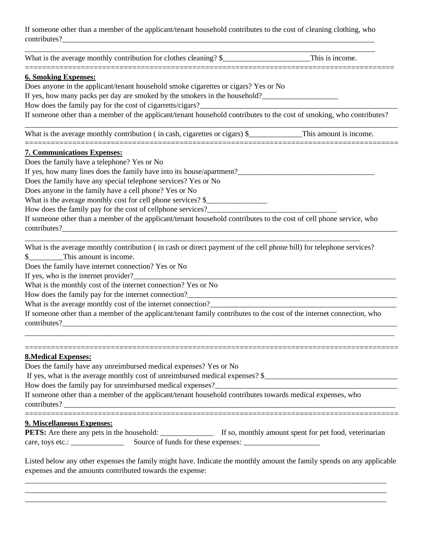If someone other than a member of the applicant/tenant household contributes to the cost of cleaning clothing, who contributes?

\_\_\_\_\_\_\_\_\_\_\_\_\_\_\_\_\_\_\_\_\_\_\_\_\_\_\_\_\_\_\_\_\_\_\_\_\_\_\_\_\_\_\_\_\_\_\_\_\_\_\_\_\_\_\_\_\_\_\_\_\_\_\_\_\_\_\_\_\_\_\_\_\_\_\_\_\_\_\_\_\_\_\_\_\_\_\_\_\_\_\_\_

======================================================================================

What is the average monthly contribution for clothes cleaning?  $\$\$  This is income.

### **6. Smoking Expenses:**

Does anyone in the applicant/tenant household smoke cigarettes or cigars? Yes or No

If yes, how many packs per day are smoked by the smokers in the household?

How does the family pay for the cost of cigarretts/cigars?

If someone other than a member of the applicant/tenant household contributes to the cost of smoking, who contributes?

\_\_\_\_\_\_\_\_\_\_\_\_\_\_\_\_\_\_\_\_\_\_\_\_\_\_\_\_\_\_\_\_\_\_\_\_\_\_\_\_\_\_\_\_\_\_\_\_\_\_\_\_\_\_\_\_\_\_\_\_\_\_\_\_\_\_\_\_\_\_\_\_\_\_\_\_\_\_\_\_\_\_\_\_\_\_\_\_\_\_\_\_\_\_\_\_\_\_

What is the average monthly contribution ( in cash, cigarettes or cigars) \$\_\_\_\_\_\_\_\_\_\_\_\_\_This amount is income. =======================================================================================

### **7. Communications Expenses:**

Does the family have a telephone? Yes or No

If yes, how many lines does the family have into its house/apartment?

Does the family have any special telephone services? Yes or No

Does anyone in the family have a cell phone? Yes or No

What is the average monthly cost for cell phone services? \$\_\_\_\_\_\_\_\_\_\_\_\_\_\_\_\_\_\_\_\_\_

How does the family pay for the cost of cellphone services?\_\_\_\_\_\_\_\_\_\_\_\_\_\_\_\_\_\_\_\_\_

If someone other than a member of the applicant/tenant household contributes to the cost of cell phone service, who contributes?

What is the average monthly contribution (in cash or direct payment of the cell phone bill) for telephone services?

\_\_\_\_\_\_\_\_\_\_\_\_\_\_\_\_\_\_\_\_\_\_\_\_\_\_\_\_\_\_\_\_\_\_\_\_\_\_\_\_\_\_\_\_\_\_\_\_\_\_\_\_\_\_\_\_\_\_\_\_\_\_\_\_\_\_\_\_\_\_\_\_\_\_\_\_\_\_\_\_\_\_\_\_\_\_\_\_

\$\_\_\_\_\_\_\_\_\_This amount is income.

Does the family have internet connection? Yes or No

If yes, who is the internet provider?

What is the monthly cost of the internet connection? Yes or No

How does the family pay for the internet connection?

What is the average monthly cost of the internet connection?\_\_\_\_\_\_\_\_\_\_\_\_\_\_\_\_\_\_\_\_\_\_\_\_\_\_\_\_\_\_\_\_\_\_\_\_\_\_\_\_\_\_\_\_\_\_\_\_\_

If someone other than a member of the applicant/tenant family contributes to the cost of the internet connection, who  $contributes?$ 

\_\_\_\_\_\_\_\_\_\_\_\_\_\_\_\_\_\_\_\_\_\_\_\_\_\_\_\_\_\_\_\_\_\_\_\_\_\_\_\_\_\_\_\_\_\_\_\_\_\_\_\_\_\_\_\_\_\_\_\_\_\_\_\_\_\_\_\_\_\_\_\_\_\_\_\_\_\_\_\_\_\_\_\_\_\_\_\_\_\_\_\_\_\_\_\_\_

=======================================================================================

## **8.Medical Expenses:**

Does the family have any unreimbursed medical expenses? Yes or No If yes, what is the average monthly cost of unreimbursed medical expenses? \$\_\_\_\_\_\_\_\_\_\_\_\_\_\_\_\_\_\_\_\_\_\_\_\_\_\_\_\_\_\_\_\_\_\_\_ How does the family pay for unreimbursed medical expenses?\_\_\_\_\_\_\_\_\_\_\_\_\_\_\_\_\_\_\_\_\_\_ If someone other than a member of the applicant/tenant household contributes towards medical expenses, who contributes? =======================================================================================

## **9. Miscellaneous Expenses:**

**PETS:** Are there any pets in the household: \_\_\_\_\_\_\_\_\_\_\_\_\_\_\_\_ If so, monthly amount spent for pet food, veterinarian care, toys etc.: \_\_\_\_\_\_\_\_\_\_\_\_\_\_ Source of funds for these expenses: \_\_\_\_\_\_\_\_\_\_\_\_\_\_\_\_\_\_\_\_

Listed below any other expenses the family might have. Indicate the monthly amount the family spends on any applicable expenses and the amounts contributed towards the expense:

\_\_\_\_\_\_\_\_\_\_\_\_\_\_\_\_\_\_\_\_\_\_\_\_\_\_\_\_\_\_\_\_\_\_\_\_\_\_\_\_\_\_\_\_\_\_\_\_\_\_\_\_\_\_\_\_\_\_\_\_\_\_\_\_\_\_\_\_\_\_\_\_\_\_\_\_\_\_\_\_\_\_\_\_\_\_\_\_\_\_\_\_\_\_\_ \_\_\_\_\_\_\_\_\_\_\_\_\_\_\_\_\_\_\_\_\_\_\_\_\_\_\_\_\_\_\_\_\_\_\_\_\_\_\_\_\_\_\_\_\_\_\_\_\_\_\_\_\_\_\_\_\_\_\_\_\_\_\_\_\_\_\_\_\_\_\_\_\_\_\_\_\_\_\_\_\_\_\_\_\_\_\_\_\_\_\_\_\_\_\_ \_\_\_\_\_\_\_\_\_\_\_\_\_\_\_\_\_\_\_\_\_\_\_\_\_\_\_\_\_\_\_\_\_\_\_\_\_\_\_\_\_\_\_\_\_\_\_\_\_\_\_\_\_\_\_\_\_\_\_\_\_\_\_\_\_\_\_\_\_\_\_\_\_\_\_\_\_\_\_\_\_\_\_\_\_\_\_\_\_\_\_\_\_\_\_